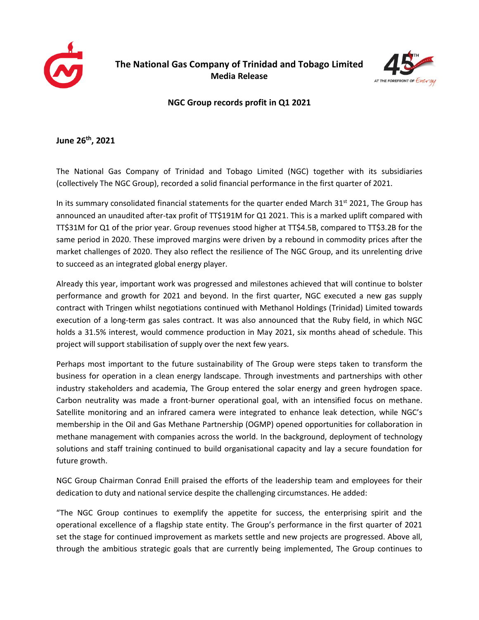



## **NGC Group records profit in Q1 2021**

**June 26 th , 2021**

The National Gas Company of Trinidad and Tobago Limited (NGC) together with its subsidiaries (collectively The NGC Group), recorded a solid financial performance in the first quarter of 2021.

In its summary consolidated financial statements for the quarter ended March  $31<sup>st</sup> 2021$ , The Group has announced an unaudited after-tax profit of TT\$191M for Q1 2021. This is a marked uplift compared with TT\$31M for Q1 of the prior year. Group revenues stood higher at TT\$4.5B, compared to TT\$3.2B for the same period in 2020. These improved margins were driven by a rebound in commodity prices after the market challenges of 2020. They also reflect the resilience of The NGC Group, and its unrelenting drive to succeed as an integrated global energy player.

Already this year, important work was progressed and milestones achieved that will continue to bolster performance and growth for 2021 and beyond. In the first quarter, NGC executed a new gas supply contract with Tringen whilst negotiations continued with Methanol Holdings (Trinidad) Limited towards execution of a long-term gas sales contract. It was also announced that the Ruby field, in which NGC holds a 31.5% interest, would commence production in May 2021, six months ahead of schedule. This project will support stabilisation of supply over the next few years.

Perhaps most important to the future sustainability of The Group were steps taken to transform the business for operation in a clean energy landscape. Through investments and partnerships with other industry stakeholders and academia, The Group entered the solar energy and green hydrogen space. Carbon neutrality was made a front-burner operational goal, with an intensified focus on methane. Satellite monitoring and an infrared camera were integrated to enhance leak detection, while NGC's membership in the Oil and Gas Methane Partnership (OGMP) opened opportunities for collaboration in methane management with companies across the world. In the background, deployment of technology solutions and staff training continued to build organisational capacity and lay a secure foundation for future growth.

NGC Group Chairman Conrad Enill praised the efforts of the leadership team and employees for their dedication to duty and national service despite the challenging circumstances. He added:

"The NGC Group continues to exemplify the appetite for success, the enterprising spirit and the operational excellence of a flagship state entity. The Group's performance in the first quarter of 2021 set the stage for continued improvement as markets settle and new projects are progressed. Above all, through the ambitious strategic goals that are currently being implemented, The Group continues to